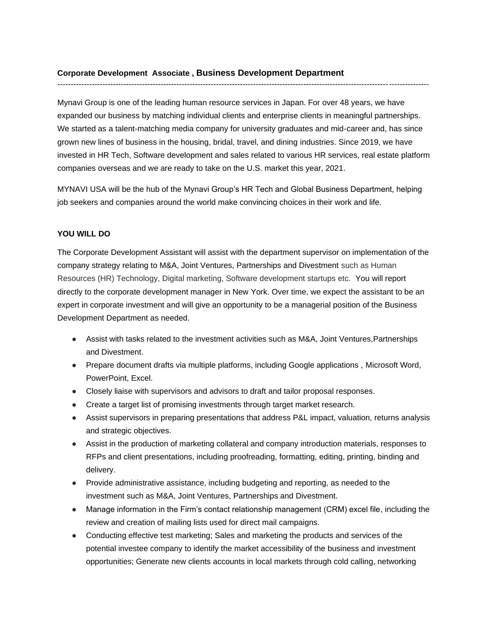## **Corporate Development Associate , Business Development Department**

Mynavi Group is one of the leading human resource services in Japan. For over 48 years, we have expanded our business by matching individual clients and enterprise clients in meaningful partnerships. We started as a talent-matching media company for university graduates and mid-career and, has since grown new lines of business in the housing, bridal, travel, and dining industries. Since 2019, we have invested in HR Tech, Software development and sales related to various HR services, real estate platform companies overseas and we are ready to take on the U.S. market this year, 2021.

--------------------------------------------------------------------------------------------------------------------------------------------

MYNAVI USA will be the hub of the Mynavi Group's HR Tech and Global Business Department, helping job seekers and companies around the world make convincing choices in their work and life.

### **YOU WILL DO**

The Corporate Development Assistant will assist with the department supervisor on implementation of the company strategy relating to M&A, Joint Ventures, Partnerships and Divestment such as Human Resources (HR) Technology, Digital marketing, Software development startups etc. You will report directly to the corporate development manager in New York. Over time, we expect the assistant to be an expert in corporate investment and will give an opportunity to be a managerial position of the Business Development Department as needed.

- Assist with tasks related to the investment activities such as M&A, Joint Ventures, Partnerships and Divestment.
- Prepare document drafts via multiple platforms, including Google applications, Microsoft Word, PowerPoint, Excel.
- Closely liaise with supervisors and advisors to draft and tailor proposal responses.
- Create a target list of promising investments through target market research.
- Assist supervisors in preparing presentations that address P&L impact, valuation, returns analysis and strategic objectives.
- Assist in the production of marketing collateral and company introduction materials, responses to RFPs and client presentations, including proofreading, formatting, editing, printing, binding and delivery.
- Provide administrative assistance, including budgeting and reporting, as needed to the investment such as M&A, Joint Ventures, Partnerships and Divestment.
- Manage information in the Firm's contact relationship management (CRM) excel file, including the review and creation of mailing lists used for direct mail campaigns.
- Conducting effective test marketing; Sales and marketing the products and services of the potential investee company to identify the market accessibility of the business and investment opportunities; Generate new clients accounts in local markets through cold calling, networking